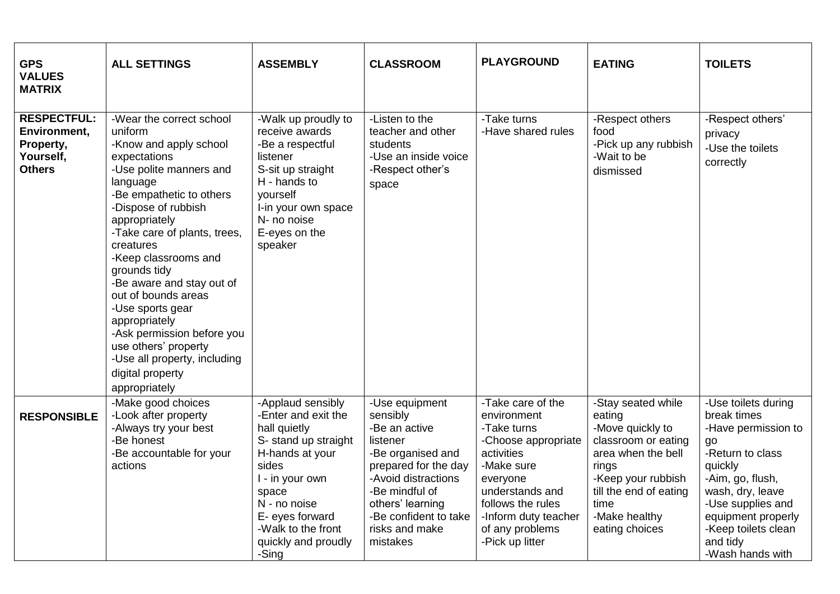| <b>GPS</b><br><b>VALUES</b><br><b>MATRIX</b>                                  | <b>ALL SETTINGS</b>                                                                                                                                                                                                                                                                                                                                                                                                                                                                               | <b>ASSEMBLY</b>                                                                                                                                                                                                                   | <b>CLASSROOM</b>                                                                                                                                                                                                         | <b>PLAYGROUND</b>                                                                                                                                                                                                    | <b>EATING</b>                                                                                                                                                                                     | <b>TOILETS</b>                                                                                                                                                                                                                           |
|-------------------------------------------------------------------------------|---------------------------------------------------------------------------------------------------------------------------------------------------------------------------------------------------------------------------------------------------------------------------------------------------------------------------------------------------------------------------------------------------------------------------------------------------------------------------------------------------|-----------------------------------------------------------------------------------------------------------------------------------------------------------------------------------------------------------------------------------|--------------------------------------------------------------------------------------------------------------------------------------------------------------------------------------------------------------------------|----------------------------------------------------------------------------------------------------------------------------------------------------------------------------------------------------------------------|---------------------------------------------------------------------------------------------------------------------------------------------------------------------------------------------------|------------------------------------------------------------------------------------------------------------------------------------------------------------------------------------------------------------------------------------------|
| <b>RESPECTFUL:</b><br>Environment,<br>Property,<br>Yourself,<br><b>Others</b> | -Wear the correct school<br>uniform<br>-Know and apply school<br>expectations<br>-Use polite manners and<br>language<br>-Be empathetic to others<br>-Dispose of rubbish<br>appropriately<br>-Take care of plants, trees,<br>creatures<br>-Keep classrooms and<br>grounds tidy<br>-Be aware and stay out of<br>out of bounds areas<br>-Use sports gear<br>appropriately<br>-Ask permission before you<br>use others' property<br>-Use all property, including<br>digital property<br>appropriately | -Walk up proudly to<br>receive awards<br>-Be a respectful<br>listener<br>S-sit up straight<br>H - hands to<br>vourself<br>I-in your own space<br>N- no noise<br>E-eyes on the<br>speaker                                          | -Listen to the<br>teacher and other<br>students<br>-Use an inside voice<br>-Respect other's<br>space                                                                                                                     | -Take turns<br>-Have shared rules                                                                                                                                                                                    | -Respect others<br>food<br>-Pick up any rubbish<br>-Wait to be<br>dismissed                                                                                                                       | -Respect others'<br>privacy<br>-Use the toilets<br>correctly                                                                                                                                                                             |
| <b>RESPONSIBLE</b>                                                            | -Make good choices<br>-Look after property<br>-Always try your best<br>-Be honest<br>-Be accountable for your<br>actions                                                                                                                                                                                                                                                                                                                                                                          | -Applaud sensibly<br>-Enter and exit the<br>hall quietly<br>S- stand up straight<br>H-hands at your<br>sides<br>I - in your own<br>space<br>N - no noise<br>E- eyes forward<br>-Walk to the front<br>quickly and proudly<br>-Sing | -Use equipment<br>sensibly<br>-Be an active<br>listener<br>-Be organised and<br>prepared for the day<br>-Avoid distractions<br>-Be mindful of<br>others' learning<br>-Be confident to take<br>risks and make<br>mistakes | -Take care of the<br>environment<br>-Take turns<br>-Choose appropriate<br>activities<br>-Make sure<br>everyone<br>understands and<br>follows the rules<br>-Inform duty teacher<br>of any problems<br>-Pick up litter | -Stay seated while<br>eating<br>-Move quickly to<br>classroom or eating<br>area when the bell<br>rings<br>-Keep your rubbish<br>till the end of eating<br>time<br>-Make healthy<br>eating choices | -Use toilets during<br>break times<br>-Have permission to<br>go<br>-Return to class<br>quickly<br>-Aim, go, flush,<br>wash, dry, leave<br>-Use supplies and<br>equipment properly<br>-Keep toilets clean<br>and tidy<br>-Wash hands with |